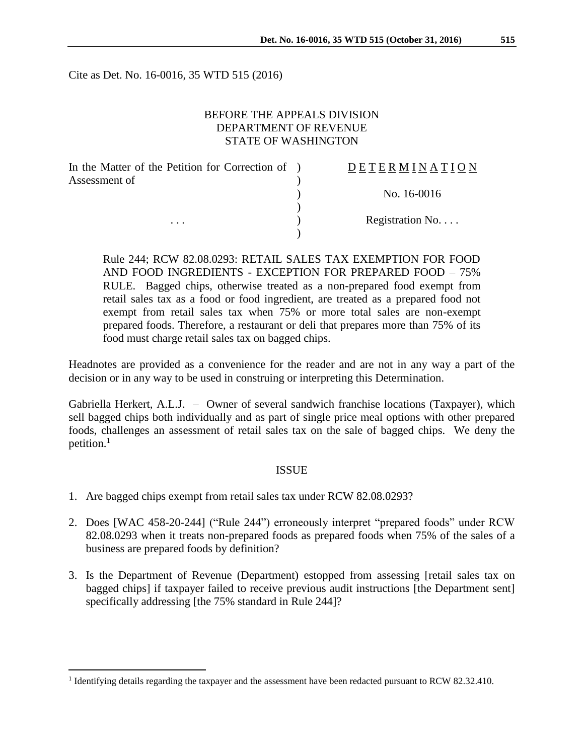Cite as Det. No. 16-0016, 35 WTD 515 (2016)

# BEFORE THE APPEALS DIVISION DEPARTMENT OF REVENUE STATE OF WASHINGTON

| In the Matter of the Petition for Correction of ) | DETERMINATION   |
|---------------------------------------------------|-----------------|
| Assessment of<br>$\cdots$                         |                 |
|                                                   | No. 16-0016     |
|                                                   |                 |
|                                                   | Registration No |
|                                                   |                 |

Rule 244; RCW 82.08.0293: RETAIL SALES TAX EXEMPTION FOR FOOD AND FOOD INGREDIENTS - EXCEPTION FOR PREPARED FOOD – 75% RULE. Bagged chips, otherwise treated as a non-prepared food exempt from retail sales tax as a food or food ingredient, are treated as a prepared food not exempt from retail sales tax when 75% or more total sales are non-exempt prepared foods. Therefore, a restaurant or deli that prepares more than 75% of its food must charge retail sales tax on bagged chips.

Headnotes are provided as a convenience for the reader and are not in any way a part of the decision or in any way to be used in construing or interpreting this Determination.

Gabriella Herkert, A.L.J. – Owner of several sandwich franchise locations (Taxpayer), which sell bagged chips both individually and as part of single price meal options with other prepared foods, challenges an assessment of retail sales tax on the sale of bagged chips. We deny the petition.<sup>1</sup>

## ISSUE

1. Are bagged chips exempt from retail sales tax under RCW 82.08.0293?

 $\overline{a}$ 

- 2. Does [WAC 458-20-244] ("Rule 244") erroneously interpret "prepared foods" under RCW 82.08.0293 when it treats non-prepared foods as prepared foods when 75% of the sales of a business are prepared foods by definition?
- 3. Is the Department of Revenue (Department) estopped from assessing [retail sales tax on bagged chips] if taxpayer failed to receive previous audit instructions [the Department sent] specifically addressing [the 75% standard in Rule 244]?

<sup>&</sup>lt;sup>1</sup> Identifying details regarding the taxpayer and the assessment have been redacted pursuant to RCW 82.32.410.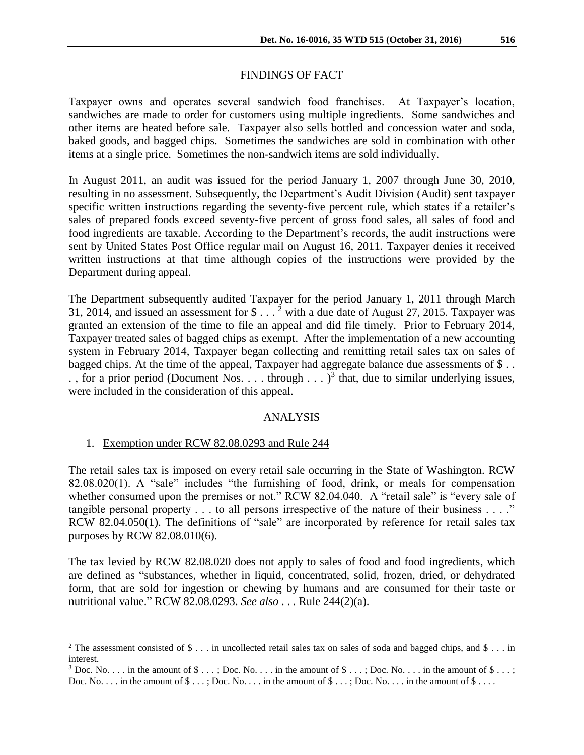## FINDINGS OF FACT

Taxpayer owns and operates several sandwich food franchises. At Taxpayer's location, sandwiches are made to order for customers using multiple ingredients. Some sandwiches and other items are heated before sale. Taxpayer also sells bottled and concession water and soda, baked goods, and bagged chips. Sometimes the sandwiches are sold in combination with other items at a single price. Sometimes the non-sandwich items are sold individually.

In August 2011, an audit was issued for the period January 1, 2007 through June 30, 2010, resulting in no assessment. Subsequently, the Department's Audit Division (Audit) sent taxpayer specific written instructions regarding the seventy-five percent rule, which states if a retailer's sales of prepared foods exceed seventy-five percent of gross food sales, all sales of food and food ingredients are taxable. According to the Department's records, the audit instructions were sent by United States Post Office regular mail on August 16, 2011. Taxpayer denies it received written instructions at that time although copies of the instructions were provided by the Department during appeal.

The Department subsequently audited Taxpayer for the period January 1, 2011 through March 31, 2014, and issued an assessment for  $\frac{1}{2}$  with a due date of August 27, 2015. Taxpayer was granted an extension of the time to file an appeal and did file timely. Prior to February 2014, Taxpayer treated sales of bagged chips as exempt. After the implementation of a new accounting system in February 2014, Taxpayer began collecting and remitting retail sales tax on sales of bagged chips. At the time of the appeal, Taxpayer had aggregate balance due assessments of \$ . . ., for a prior period (Document Nos. . . . through  $\ldots$  )<sup>3</sup> that, due to similar underlying issues, were included in the consideration of this appeal.

## ANALYSIS

1. Exemption under RCW 82.08.0293 and Rule 244

 $\overline{a}$ 

The retail sales tax is imposed on every retail sale occurring in the State of Washington. RCW 82.08.020(1). A "sale" includes "the furnishing of food, drink, or meals for compensation whether consumed upon the premises or not." RCW 82.04.040. A "retail sale" is "every sale of tangible personal property  $\dots$  to all persons irrespective of the nature of their business  $\dots$ ." RCW 82.04.050(1). The definitions of "sale" are incorporated by reference for retail sales tax purposes by RCW 82.08.010(6).

The tax levied by RCW 82.08.020 does not apply to sales of food and food ingredients, which are defined as "substances, whether in liquid, concentrated, solid, frozen, dried, or dehydrated form, that are sold for ingestion or chewing by humans and are consumed for their taste or nutritional value." RCW 82.08.0293. *See also* . . . Rule 244(2)(a).

<sup>&</sup>lt;sup>2</sup> The assessment consisted of \$ . . . in uncollected retail sales tax on sales of soda and bagged chips, and \$ . . . in interest.

<sup>&</sup>lt;sup>3</sup> Doc. No. . . . in the amount of  $\$\ldots$ ; Doc. No. . . . in the amount of  $\$\ldots$ ; Doc. No. . . . in the amount of  $\$\ldots$ ; Doc. No.  $\dots$  in the amount of  $\$\dots$ ; Doc. No.  $\dots$  in the amount of  $\$\dots$ ; Doc. No.  $\dots$  in the amount of  $\$\dots$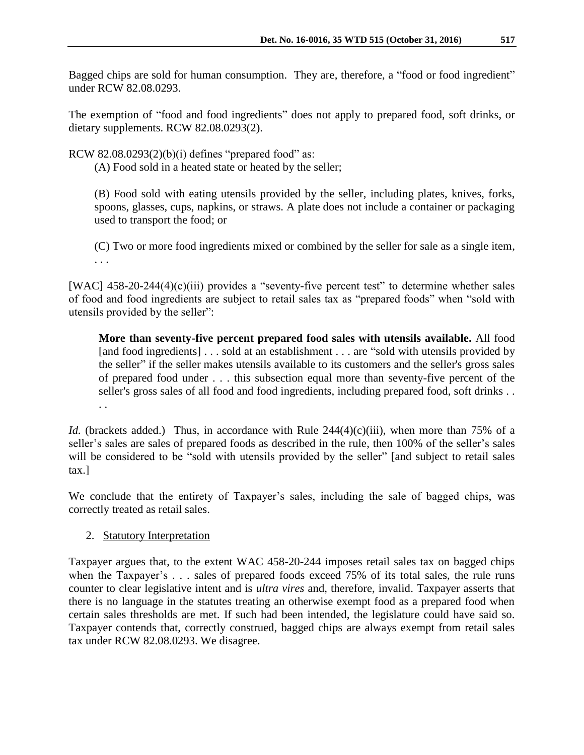Bagged chips are sold for human consumption. They are, therefore, a "food or food ingredient" under RCW 82.08.0293.

The exemption of "food and food ingredients" does not apply to prepared food, soft drinks, or dietary supplements. RCW 82.08.0293(2).

RCW 82.08.0293 $(2)(b)(i)$  defines "prepared food" as:

(A) Food sold in a heated state or heated by the seller;

(B) Food sold with eating utensils provided by the seller, including plates, knives, forks, spoons, glasses, cups, napkins, or straws. A plate does not include a container or packaging used to transport the food; or

(C) Two or more food ingredients mixed or combined by the seller for sale as a single item, . . .

[WAC] 458-20-244(4)(c)(iii) provides a "seventy-five percent test" to determine whether sales of food and food ingredients are subject to retail sales tax as "prepared foods" when "sold with utensils provided by the seller":

**More than seventy-five percent prepared food sales with utensils available.** All food [and food ingredients] . . . sold at an establishment . . . are "sold with utensils provided by the seller" if the seller makes utensils available to its customers and the seller's gross sales of prepared food under . . . this subsection equal more than seventy-five percent of the seller's gross sales of all food and food ingredients, including prepared food, soft drinks . . . .

*Id.* (brackets added.) Thus, in accordance with Rule 244(4)(c)(iii), when more than 75% of a seller's sales are sales of prepared foods as described in the rule, then 100% of the seller's sales will be considered to be "sold with utensils provided by the seller" [and subject to retail sales tax.]

We conclude that the entirety of Taxpayer's sales, including the sale of bagged chips, was correctly treated as retail sales.

2. Statutory Interpretation

Taxpayer argues that, to the extent WAC 458-20-244 imposes retail sales tax on bagged chips when the Taxpayer's . . . sales of prepared foods exceed 75% of its total sales, the rule runs counter to clear legislative intent and is *ultra vires* and, therefore, invalid. Taxpayer asserts that there is no language in the statutes treating an otherwise exempt food as a prepared food when certain sales thresholds are met. If such had been intended, the legislature could have said so. Taxpayer contends that, correctly construed, bagged chips are always exempt from retail sales tax under RCW 82.08.0293. We disagree.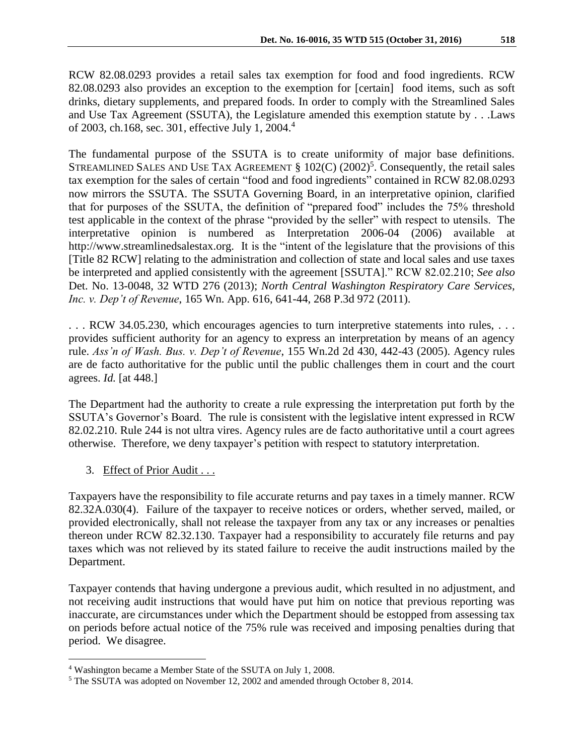RCW 82.08.0293 provides a retail sales tax exemption for food and food ingredients. RCW 82.08.0293 also provides an exception to the exemption for [certain] food items, such as soft drinks, dietary supplements, and prepared foods. In order to comply with the Streamlined Sales

The fundamental purpose of the SSUTA is to create uniformity of major base definitions. STREAMLINED SALES AND USE TAX AGREEMENT  $\S 102(C) (2002)^5$ . Consequently, the retail sales tax exemption for the sales of certain "food and food ingredients" contained in RCW 82.08.0293 now mirrors the SSUTA. The SSUTA Governing Board, in an interpretative opinion, clarified that for purposes of the SSUTA, the definition of "prepared food" includes the 75% threshold test applicable in the context of the phrase "provided by the seller" with respect to utensils. The interpretative opinion is numbered as Interpretation 2006-04 (2006) available at http://www.streamlinedsalestax.org. It is the "intent of the legislature that the provisions of this [Title 82 RCW] relating to the administration and collection of state and local sales and use taxes be interpreted and applied consistently with the agreement [SSUTA]." RCW 82.02.210; *See also* Det. No. 13-0048, 32 WTD 276 (2013); *North Central Washington Respiratory Care Services, Inc. v. Dep't of Revenue*, 165 Wn. App. 616, 641-44, 268 P.3d 972 (2011).

and Use Tax Agreement (SSUTA), the Legislature amended this exemption statute by . . .Laws

. . . RCW 34.05.230, which encourages agencies to turn interpretive statements into rules, . . . provides sufficient authority for an agency to express an interpretation by means of an agency rule. *Ass'n of Wash. Bus. v. Dep't of Revenue*, 155 Wn.2d 2d 430, 442-43 (2005). Agency rules are de facto authoritative for the public until the public challenges them in court and the court agrees. *Id.* [at 448.]

The Department had the authority to create a rule expressing the interpretation put forth by the SSUTA's Governor's Board. The rule is consistent with the legislative intent expressed in RCW 82.02.210. Rule 244 is not ultra vires. Agency rules are de facto authoritative until a court agrees otherwise. Therefore, we deny taxpayer's petition with respect to statutory interpretation.

3. Effect of Prior Audit . . .

 $\overline{a}$ 

of 2003, ch.168, sec. 301, effective July 1, 2004.<sup>4</sup>

Taxpayers have the responsibility to file accurate returns and pay taxes in a timely manner. RCW 82.32A.030(4). Failure of the taxpayer to receive notices or orders, whether served, mailed, or provided electronically, shall not release the taxpayer from any tax or any increases or penalties thereon under RCW 82.32.130. Taxpayer had a responsibility to accurately file returns and pay taxes which was not relieved by its stated failure to receive the audit instructions mailed by the Department.

Taxpayer contends that having undergone a previous audit, which resulted in no adjustment, and not receiving audit instructions that would have put him on notice that previous reporting was inaccurate, are circumstances under which the Department should be estopped from assessing tax on periods before actual notice of the 75% rule was received and imposing penalties during that period. We disagree.

<sup>4</sup> Washington became a Member State of the SSUTA on July 1, 2008.

<sup>5</sup> The SSUTA was adopted on November 12, 2002 and amended through October 8, 2014.